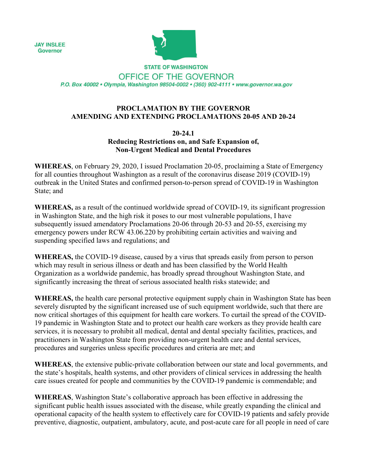**JAY INSLEE Governor** 



**STATE OF WASHINGTON** 

OFFICE OF THE GOVERNOR P.O. Box 40002 · Olympia, Washington 98504-0002 · (360) 902-4111 · www.governor.wa.gov

### **PROCLAMATION BY THE GOVERNOR AMENDING AND EXTENDING PROCLAMATIONS 20-05 AND 20-24**

### **20-24.1 Reducing Restrictions on, and Safe Expansion of, Non-Urgent Medical and Dental Procedures**

**WHEREAS**, on February 29, 2020, I issued Proclamation 20-05, proclaiming a State of Emergency for all counties throughout Washington as a result of the coronavirus disease 2019 (COVID-19) outbreak in the United States and confirmed person-to-person spread of COVID-19 in Washington State; and

**WHEREAS,** as a result of the continued worldwide spread of COVID-19, its significant progression in Washington State, and the high risk it poses to our most vulnerable populations, I have subsequently issued amendatory Proclamations 20-06 through 20-53 and 20-55, exercising my emergency powers under RCW 43.06.220 by prohibiting certain activities and waiving and suspending specified laws and regulations; and

**WHEREAS,** the COVID-19 disease, caused by a virus that spreads easily from person to person which may result in serious illness or death and has been classified by the World Health Organization as a worldwide pandemic, has broadly spread throughout Washington State, and significantly increasing the threat of serious associated health risks statewide; and

**WHEREAS,** the health care personal protective equipment supply chain in Washington State has been severely disrupted by the significant increased use of such equipment worldwide, such that there are now critical shortages of this equipment for health care workers. To curtail the spread of the COVID-19 pandemic in Washington State and to protect our health care workers as they provide health care services, it is necessary to prohibit all medical, dental and dental specialty facilities, practices, and practitioners in Washington State from providing non-urgent health care and dental services, procedures and surgeries unless specific procedures and criteria are met; and

**WHEREAS**, the extensive public-private collaboration between our state and local governments, and the state's hospitals, health systems, and other providers of clinical services in addressing the health care issues created for people and communities by the COVID-19 pandemic is commendable; and

**WHEREAS**, Washington State's collaborative approach has been effective in addressing the significant public health issues associated with the disease, while greatly expanding the clinical and operational capacity of the health system to effectively care for COVID-19 patients and safely provide preventive, diagnostic, outpatient, ambulatory, acute, and post-acute care for all people in need of care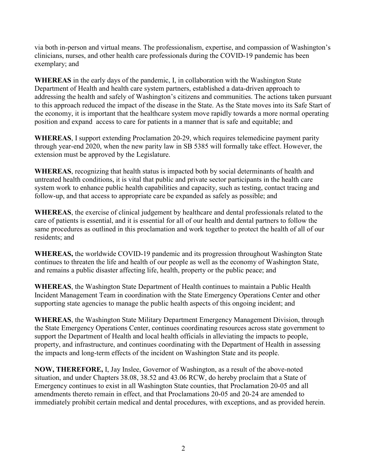via both in-person and virtual means. The professionalism, expertise, and compassion of Washington's clinicians, nurses, and other health care professionals during the COVID-19 pandemic has been exemplary; and

**WHEREAS** in the early days of the pandemic, I, in collaboration with the Washington State Department of Health and health care system partners, established a data-driven approach to addressing the health and safely of Washington's citizens and communities. The actions taken pursuant to this approach reduced the impact of the disease in the State. As the State moves into its Safe Start of the economy, it is important that the healthcare system move rapidly towards a more normal operating position and expand access to care for patients in a manner that is safe and equitable; and

**WHEREAS**, I support extending Proclamation 20-29, which requires telemedicine payment parity through year-end 2020, when the new parity law in SB 5385 will formally take effect. However, the extension must be approved by the Legislature.

**WHEREAS**, recognizing that health status is impacted both by social determinants of health and untreated health conditions, it is vital that public and private sector participants in the health care system work to enhance public health capabilities and capacity, such as testing, contact tracing and follow-up, and that access to appropriate care be expanded as safely as possible; and

**WHEREAS**, the exercise of clinical judgement by healthcare and dental professionals related to the care of patients is essential, and it is essential for all of our health and dental partners to follow the same procedures as outlined in this proclamation and work together to protect the health of all of our residents; and

**WHEREAS,** the worldwide COVID-19 pandemic and its progression throughout Washington State continues to threaten the life and health of our people as well as the economy of Washington State, and remains a public disaster affecting life, health, property or the public peace; and

**WHEREAS**, the Washington State Department of Health continues to maintain a Public Health Incident Management Team in coordination with the State Emergency Operations Center and other supporting state agencies to manage the public health aspects of this ongoing incident; and

**WHEREAS**, the Washington State Military Department Emergency Management Division, through the State Emergency Operations Center, continues coordinating resources across state government to support the Department of Health and local health officials in alleviating the impacts to people, property, and infrastructure, and continues coordinating with the Department of Health in assessing the impacts and long-term effects of the incident on Washington State and its people.

**NOW, THEREFORE,** I, Jay Inslee, Governor of Washington, as a result of the above-noted situation, and under Chapters 38.08, 38.52 and 43.06 RCW, do hereby proclaim that a State of Emergency continues to exist in all Washington State counties, that Proclamation 20-05 and all amendments thereto remain in effect, and that Proclamations 20-05 and 20-24 are amended to immediately prohibit certain medical and dental procedures, with exceptions, and as provided herein.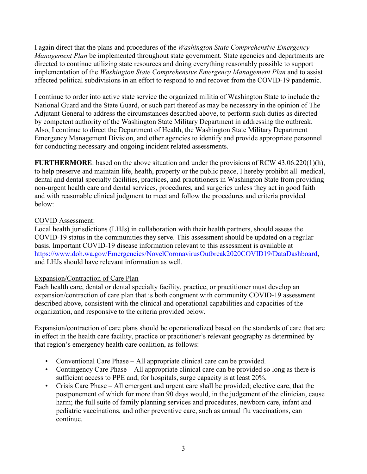I again direct that the plans and procedures of the *Washington State Comprehensive Emergency Management Plan* be implemented throughout state government. State agencies and departments are directed to continue utilizing state resources and doing everything reasonably possible to support implementation of the *Washington State Comprehensive Emergency Management Plan* and to assist affected political subdivisions in an effort to respond to and recover from the COVID-19 pandemic.

I continue to order into active state service the organized militia of Washington State to include the National Guard and the State Guard, or such part thereof as may be necessary in the opinion of The Adjutant General to address the circumstances described above, to perform such duties as directed by competent authority of the Washington State Military Department in addressing the outbreak. Also, I continue to direct the Department of Health, the Washington State Military Department Emergency Management Division, and other agencies to identify and provide appropriate personnel for conducting necessary and ongoing incident related assessments.

**FURTHERMORE**: based on the above situation and under the provisions of RCW 43.06.220(1)(h), to help preserve and maintain life, health, property or the public peace, I hereby prohibit all medical, dental and dental specialty facilities, practices, and practitioners in Washington State from providing non-urgent health care and dental services, procedures, and surgeries unless they act in good faith and with reasonable clinical judgment to meet and follow the procedures and criteria provided below:

# COVID Assessment:

Local health jurisdictions (LHJs) in collaboration with their health partners, should assess the COVID-19 status in the communities they serve. This assessment should be updated on a regular basis. Important COVID-19 disease information relevant to this assessment is available at [https://www.doh.wa.gov/Emergencies/NovelCoronavirusOutbreak2020COVID19/DataDashboard,](https://www.doh.wa.gov/Emergencies/NovelCoronavirusOutbreak2020COVID19/DataDashboard) and LHJs should have relevant information as well.

## Expansion/Contraction of Care Plan

Each health care, dental or dental specialty facility, practice, or practitioner must develop an expansion/contraction of care plan that is both congruent with community COVID-19 assessment described above, consistent with the clinical and operational capabilities and capacities of the organization, and responsive to the criteria provided below.

Expansion/contraction of care plans should be operationalized based on the standards of care that are in effect in the health care facility, practice or practitioner's relevant geography as determined by that region's emergency health care coalition, as follows:

- Conventional Care Phase All appropriate clinical care can be provided.
- Contingency Care Phase All appropriate clinical care can be provided so long as there is sufficient access to PPE and, for hospitals, surge capacity is at least 20%.
- Crisis Care Phase All emergent and urgent care shall be provided; elective care, that the postponement of which for more than 90 days would, in the judgement of the clinician, cause harm; the full suite of family planning services and procedures, newborn care, infant and pediatric vaccinations, and other preventive care, such as annual flu vaccinations, can continue.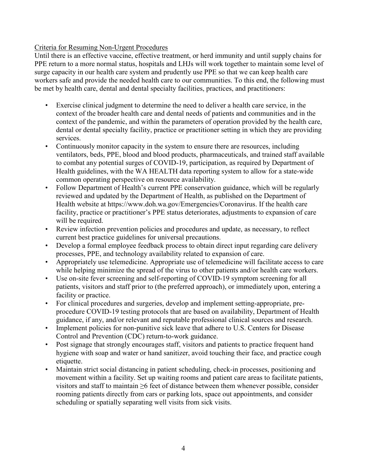### Criteria for Resuming Non-Urgent Procedures

Until there is an effective vaccine, effective treatment, or herd immunity and until supply chains for PPE return to a more normal status, hospitals and LHJs will work together to maintain some level of surge capacity in our health care system and prudently use PPE so that we can keep health care workers safe and provide the needed health care to our communities. To this end, the following must be met by health care, dental and dental specialty facilities, practices, and practitioners:

- Exercise clinical judgment to determine the need to deliver a health care service, in the context of the broader health care and dental needs of patients and communities and in the context of the pandemic, and within the parameters of operation provided by the health care, dental or dental specialty facility, practice or practitioner setting in which they are providing services.
- Continuously monitor capacity in the system to ensure there are resources, including ventilators, beds, PPE, blood and blood products, pharmaceuticals, and trained staff available to combat any potential surges of COVID-19, participation, as required by Department of Health guidelines, with the WA HEALTH data reporting system to allow for a state-wide common operating perspective on resource availability.
- Follow Department of Health's current PPE conservation guidance, which will be regularly reviewed and updated by the Department of Health, as published on the Department of Health website at https://www.doh.wa.gov/Emergencies/Coronavirus. If the health care facility, practice or practitioner's PPE status deteriorates, adjustments to expansion of care will be required.
- Review infection prevention policies and procedures and update, as necessary, to reflect current best practice guidelines for universal precautions.
- Develop a formal employee feedback process to obtain direct input regarding care delivery processes, PPE, and technology availability related to expansion of care.
- Appropriately use telemedicine. Appropriate use of telemedicine will facilitate access to care while helping minimize the spread of the virus to other patients and/or health care workers.
- Use on-site fever screening and self-reporting of COVID-19 symptom screening for all patients, visitors and staff prior to (the preferred approach), or immediately upon, entering a facility or practice.
- For clinical procedures and surgeries, develop and implement setting-appropriate, preprocedure COVID-19 testing protocols that are based on availability, Department of Health guidance, if any, and/or relevant and reputable professional clinical sources and research.
- Implement policies for non-punitive sick leave that adhere to U.S. Centers for Disease Control and Prevention (CDC) return-to-work guidance.
- Post signage that strongly encourages staff, visitors and patients to practice frequent hand hygiene with soap and water or hand sanitizer, avoid touching their face, and practice cough etiquette.
- Maintain strict social distancing in patient scheduling, check-in processes, positioning and movement within a facility. Set up waiting rooms and patient care areas to facilitate patients, visitors and staff to maintain ≥6 feet of distance between them whenever possible, consider rooming patients directly from cars or parking lots, space out appointments, and consider scheduling or spatially separating well visits from sick visits.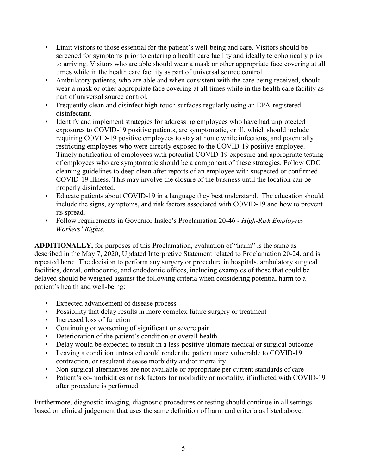- Limit visitors to those essential for the patient's well-being and care. Visitors should be screened for symptoms prior to entering a health care facility and ideally telephonically prior to arriving. Visitors who are able should wear a mask or other appropriate face covering at all times while in the health care facility as part of universal source control.
- Ambulatory patients, who are able and when consistent with the care being received, should wear a mask or other appropriate face covering at all times while in the health care facility as part of universal source control.
- Frequently clean and disinfect high-touch surfaces regularly using an EPA-registered disinfectant.
- Identify and implement strategies for addressing employees who have had unprotected exposures to COVID-19 positive patients, are symptomatic, or ill, which should include requiring COVID-19 positive employees to stay at home while infectious, and potentially restricting employees who were directly exposed to the COVID-19 positive employee. Timely notification of employees with potential COVID-19 exposure and appropriate testing of employees who are symptomatic should be a component of these strategies. Follow CDC cleaning guidelines to deep clean after reports of an employee with suspected or confirmed COVID-19 illness. This may involve the closure of the business until the location can be properly disinfected.
- Educate patients about COVID-19 in a language they best understand. The education should include the signs, symptoms, and risk factors associated with COVID-19 and how to prevent its spread.
- Follow requirements in Governor Inslee's Proclamation 20-46 *High-Risk Employees – Workers' Rights*.

**ADDITIONALLY,** for purposes of this Proclamation, evaluation of "harm" is the same as described in the May 7, 2020, Updated Interpretive Statement related to Proclamation 20-24, and is repeated here: The decision to perform any surgery or procedure in hospitals, ambulatory surgical facilities, dental, orthodontic, and endodontic offices, including examples of those that could be delayed should be weighed against the following criteria when considering potential harm to a patient's health and well-being:

- Expected advancement of disease process
- Possibility that delay results in more complex future surgery or treatment
- Increased loss of function
- Continuing or worsening of significant or severe pain
- Deterioration of the patient's condition or overall health
- Delay would be expected to result in a less-positive ultimate medical or surgical outcome
- Leaving a condition untreated could render the patient more vulnerable to COVID-19 contraction, or resultant disease morbidity and/or mortality
- Non-surgical alternatives are not available or appropriate per current standards of care
- Patient's co-morbidities or risk factors for morbidity or mortality, if inflicted with COVID-19 after procedure is performed

Furthermore, diagnostic imaging, diagnostic procedures or testing should continue in all settings based on clinical judgement that uses the same definition of harm and criteria as listed above.